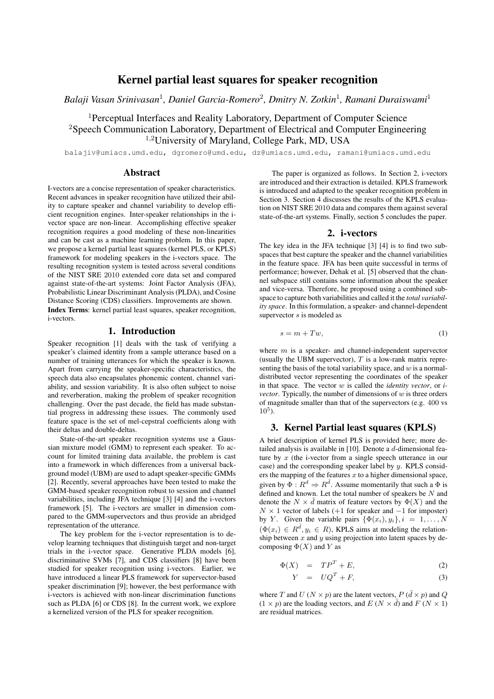# Kernel partial least squares for speaker recognition

Balaji Vasan Srinivasan<sup>1</sup>, Daniel Garcia-Romero<sup>2</sup>, Dmitry N. Zotkin<sup>1</sup>, Ramani Duraiswami<sup>1</sup>

<sup>1</sup>Perceptual Interfaces and Reality Laboratory, Department of Computer Science <sup>2</sup>Speech Communication Laboratory, Department of Electrical and Computer Engineering <sup>1</sup>*,*<sup>2</sup>University of Maryland, College Park, MD, USA

balajiv@umiacs.umd.edu, dgromero@umd.edu, dz@umiacs.umd.edu, ramani@umiacs.umd.edu

# Abstract

I-vectors are a concise representation of speaker characteristics. Recent advances in speaker recognition have utilized their ability to capture speaker and channel variability to develop efficient recognition engines. Inter-speaker relationships in the ivector space are non-linear. Accomplishing effective speaker recognition requires a good modeling of these non-linearities and can be cast as a machine learning problem. In this paper, we propose a kernel partial least squares (kernel PLS, or KPLS) framework for modeling speakers in the i-vectors space. The resulting recognition system is tested across several conditions of the NIST SRE 2010 extended core data set and compared against state-of-the-art systems: Joint Factor Analysis (JFA), Probabilistic Linear Discriminant Analysis (PLDA), and Cosine Distance Scoring (CDS) classifiers. Improvements are shown. Index Terms: kernel partial least squares, speaker recognition,

i-vectors.

# 1. Introduction

Speaker recognition [1] deals with the task of verifying a speaker's claimed identity from a sample utterance based on a number of training utterances for which the speaker is known. Apart from carrying the speaker-specific characteristics, the speech data also encapsulates phonemic content, channel variability, and session variability. It is also often subject to noise and reverberation, making the problem of speaker recognition challenging. Over the past decade, the field has made substantial progress in addressing these issues. The commonly used feature space is the set of mel-cepstral coefficients along with their deltas and double-deltas.

State-of-the-art speaker recognition systems use a Gaussian mixture model (GMM) to represent each speaker. To account for limited training data available, the problem is cast into a framework in which differences from a universal background model (UBM) are used to adapt speaker-specific GMMs [2]. Recently, several approaches have been tested to make the GMM-based speaker recognition robust to session and channel variabilities, including JFA technique [3] [4] and the i-vectors framework [5]. The i-vectors are smaller in dimension compared to the GMM-supervectors and thus provide an abridged representation of the utterance.

The key problem for the i-vector representation is to develop learning techniques that distinguish target and non-target trials in the i-vector space. Generative PLDA models [6], discriminative SVMs [7], and CDS classifiers [8] have been studied for speaker recognition using i-vectors. Earlier, we have introduced a linear PLS framework for supervector-based speaker discrimination [9]; however, the best performance with i-vectors is achieved with non-linear discrimination functions such as PLDA [6] or CDS [8]. In the current work, we explore a kernelized version of the PLS for speaker recognition.

The paper is organized as follows. In Section 2, i-vectors are introduced and their extraction is detailed. KPLS framework is introduced and adapted to the speaker recognition problem in Section 3. Section 4 discusses the results of the KPLS evaluation on NIST SRE 2010 data and compares them against several state-of-the-art systems. Finally, section 5 concludes the paper.

# 2. i-vectors

The key idea in the JFA technique [3] [4] is to find two subspaces that best capture the speaker and the channel variabilities in the feature space. JFA has been quite successful in terms of performance; however, Dehak et al. [5] observed that the channel subspace still contains some information about the speaker and vice-versa. Therefore, he proposed using a combined subspace to capture both variabilities and called it the *total variability space*. In this formulation, a speaker- and channel-dependent supervector *s* is modeled as

$$
s = m + Tw,\tag{1}
$$

where *m* is a speaker- and channel-independent supervector (usually the UBM supervector), *T* is a low-rank matrix representing the basis of the total variability space, and *w* is a normaldistributed vector representing the coordinates of the speaker in that space. The vector *w* is called the *identity vector*, or *ivector*. Typically, the number of dimensions of *w* is three orders of magnitude smaller than that of the supervectors (e.g. 400 vs  $10^5$ ).

### 3. Kernel Partial least squares (KPLS)

A brief description of kernel PLS is provided here; more detailed analysis is available in [10]. Denote a *d*-dimensional feature by *x* (the i-vector from a single speech utterance in our case) and the corresponding speaker label by *y*. KPLS considers the mapping of the features *x* to a higher dimensional space, given by  $\Phi: R^d \Rightarrow R^{\overline{d}}$ . Assume momentarily that such a  $\overline{\Phi}$  is defined and known. Let the total number of speakers be *N* and denote the  $N \times \bar{d}$  matrix of feature vectors by  $\Phi(X)$  and the *N*  $\times$  1 vector of labels (+1 for speaker and *−*1 for imposter) by *Y*. Given the variable pairs  $\{\Phi(x_i), y_i\}, i = 1, \ldots, N$  $(\Phi(x_i) \in R^{\bar{d}}, y_i \in R)$ , KPLS aims at modeling the relationship between *x* and *y* using projection into latent spaces by decomposing  $\Phi(X)$  and *Y* as

$$
\Phi(X) = TP^T + E,\tag{2}
$$

$$
Y = UQ^T + F,\t\t(3)
$$

where *T* and *U* ( $N \times p$ ) are the latent vectors,  $P$  ( $\overline{d} \times p$ ) and  $Q$  $(1 \times p)$  are the loading vectors, and  $E (N \times d)$  and  $F (N \times 1)$ are residual matrices.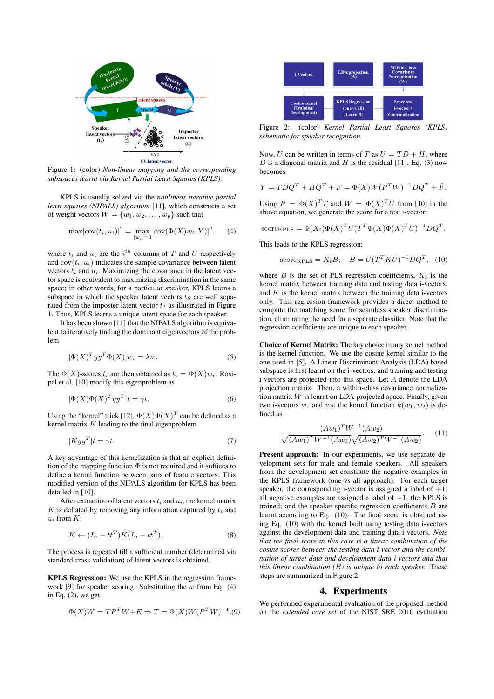

Figure 1: (color) *Non-linear mapping and the corresponding subspaces learnt via Kernel Partial Least Squares (KPLS).*

KPLS is usually solved via the *nonlinear iterative partial least squares (NIPALS) algorithm* [11], which constructs a set of weight vectors  $W = \{w_1, w_2, \dots, w_p\}$  such that

$$
\max[\text{cov}(t_i, u_i)]^2 = \max_{|w_i|=1} [\text{cov}(\Phi(X)w_i, Y)]^2, \quad (4)
$$

where  $t_i$  and  $u_i$  are the  $i^{th}$  columns of  $T$  and  $U$  respectively and  $cov(t_i, u_i)$  indicates the sample covariance between latent vectors  $t_i$  and  $u_i$ . Maximizing the covariance in the latent vector space is equivalent to maximizing discrimination in the same space; in other words, for a particular speaker, KPLS learns a subspace in which the speaker latent vectors  $t<sub>S</sub>$  are well separated from the imposter latent vector  $t_I$  as illustrated in Figure 1. Thus, KPLS learns a unique latent space for each speaker.

It has been shown [11] that the NIPALS algorithm is equivalent to iteratively finding the dominant eigenvectors of the problem

$$
[\Phi(X)^T y y^T \Phi(X)] w_i = \lambda w. \tag{5}
$$

The  $\Phi(X)$ -scores  $t_i$  are then obtained as  $t_i = \Phi(X)w_i$ . Rosipal et al. [10] modify this eigenproblem as

$$
[\Phi(X)\Phi(X)^T y y^T]t = \gamma t.
$$
\n(6)

Using the "kernel" trick [12],  $\Phi(X)\Phi(X)^T$  can be defined as a kernel matrix *K* leading to the final eigenproblem

$$
[Kyy^T]t = \gamma t. \tag{7}
$$

A key advantage of this kernelization is that an explicit definition of the mapping function  $\Phi$  is not required and it suffices to define a kernel function between pairs of feature vectors. This modified version of the NIPALS algorithm for KPLS has been detailed in [10].

After extraction of latent vectors  $t_i$  and  $u_i$ , the kernel matrix *K* is deflated by removing any information captured by *t<sup>i</sup>* and *u<sup>i</sup>* from *K*:

$$
K \leftarrow (I_n - tt^T)K(I_n - tt^T). \tag{8}
$$

The process is repeated till a sufficient number (determined via standard cross-validation) of latent vectors is obtained.

KPLS Regression: We use the KPLS in the regression framework [9] for speaker scoring. Substituting the *w* from Eq. (4) in Eq. (2), we get

$$
\Phi(X)W = TP^T W + E \Rightarrow T = \Phi(X)W(P^T W)^{-1}. (9)
$$



Figure 2: (color) *Kernel Partial Least Squares (KPLS) schematic for speaker recognition.*

Now, *U* can be written in terms of *T* as  $U = TD + H$ , where *D* is a diagonal matrix and *H* is the residual [11]. Eq. (3) now becomes

$$
Y = T D Q^{T} + H Q^{T} + F = \Phi(X) W (P^{T} W)^{-1} D Q^{T} + \bar{F}.
$$

Using  $P = \Phi(X)^T T$  and  $W = \Phi(X)^T U$  from [10] in the above equation, we generate the score for a test i-vector:

score<sub>KPLS</sub> = 
$$
\Phi(X_t)\Phi(X)^T U(T^T \Phi(X)\Phi(X)^T U)^{-1} DQ^T
$$
.

This leads to the KPLS regression:

score<sub>KPLS</sub> = 
$$
K_t B
$$
;  $B = U(T^T K U)^{-1} D Q^T$ , (10)

where  $B$  is the set of PLS regression coefficients,  $K_t$  is the kernel matrix between training data and testing data i-vectors, and *K* is the kernel matrix between the training data i-vectors only. This regression framework provides a direct method to compute the matching score for seamless speaker discrimination, eliminating the need for a separate classifier. Note that the regression coefficients are unique to each speaker.

Choice of Kernel Matrix: The key choice in any kernel method is the kernel function. We use the cosine kernel similar to the one used in [5]. A Linear Discriminant Analysis (LDA) based subspace is first learnt on the i-vectors, and training and testing i-vectors are projected into this space. Let *A* denote the LDA projection matrix. Then, a within-class covariance normalization matrix *W* is learnt on LDA-projected space. Finally, given two i-vectors  $w_1$  and  $w_2$ , the kernel function  $k(w_1, w_2)$  is defined as

$$
\frac{(Aw_1)^TW^{-1}(Aw_2)}{\sqrt{(Aw_1)^TW^{-1}(Aw_1)}\sqrt{(Aw_2)^TW^{-1}(Aw_2)}}.
$$
 (11)

Present approach: In our experiments, we use separate development sets for male and female speakers. All speakers from the development set constitute the negative examples in the KPLS framework (one-vs-all approach). For each target speaker, the corresponding i-vector is assigned a label of  $+1$ ; all negative examples are assigned a label of *−*1; the KPLS is trained; and the speaker-specific regression coefficients *B* are learnt according to Eq. (10). The final score is obtained using Eq. (10) with the kernel built using testing data i-vectors against the development data and training data i-vectors. *Note that the final score in this case is a linear combination of the cosine scores between the testing data i-vector and the combination of target data and development data i-vectors and that this linear combination (B) is unique to each speaker.* These steps are summarized in Figure 2.

#### 4. Experiments

We performed experimental evaluation of the proposed method on the *extended core set* of the NIST SRE 2010 evaluation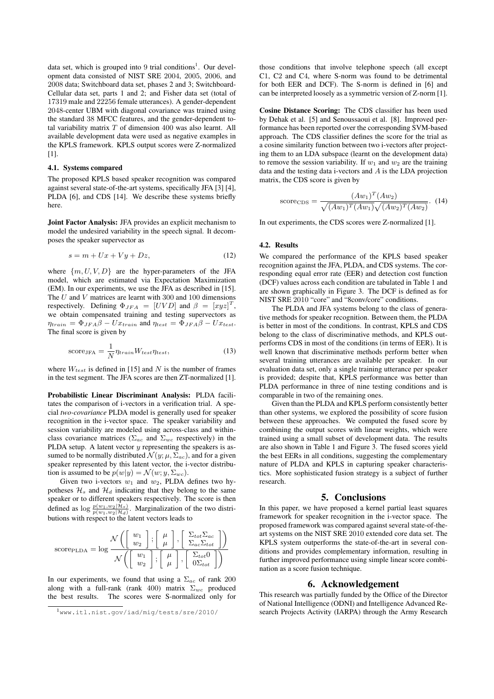data set, which is grouped into 9 trial conditions<sup>1</sup>. Our development data consisted of NIST SRE 2004, 2005, 2006, and 2008 data; Switchboard data set, phases 2 and 3; Switchboard-Cellular data set, parts 1 and 2; and Fisher data set (total of 17319 male and 22256 female utterances). A gender-dependent 2048-center UBM with diagonal covariance was trained using the standard 38 MFCC features, and the gender-dependent total variability matrix *T* of dimension 400 was also learnt. All available development data were used as negative examples in the KPLS framework. KPLS output scores were Z-normalized [1].

#### 4.1. Systems compared

The proposed KPLS based speaker recognition was compared against several state-of-the-art systems, specifically JFA [3] [4], PLDA [6], and CDS [14]. We describe these systems briefly here.

Joint Factor Analysis: JFA provides an explicit mechanism to model the undesired variability in the speech signal. It decomposes the speaker supervector as

$$
s = m + Ux + Vy + Dz,\tag{12}
$$

where  $\{m, U, V, D\}$  are the hyper-parameters of the JFA model, which are estimated via Expectation Maximization (EM). In our experiments, we use the JFA as described in [15]. The *U* and *V* matrices are learnt with 300 and 100 dimensions respectively. Defining  $\Phi_{JFA} = [UVD]$  and  $\beta = [xyz]^T$ , we obtain compensated training and testing supervectors as  $\eta_{train} = \Phi_{JFA}\beta - Ux_{train}$  and  $\eta_{test} = \Phi_{JFA}\beta - Ux_{test}$ . The final score is given by

$$
score_{JFA} = \frac{1}{N} \eta_{train} W_{test} \eta_{test},
$$
\n(13)

where *Wtest* is defined in [15] and *N* is the number of frames in the test segment. The JFA scores are then ZT-normalized [1].

Probabilistic Linear Discriminant Analysis: PLDA facilitates the comparison of i-vectors in a verification trial. A special *two-covariance* PLDA model is generally used for speaker recognition in the i-vector space. The speaker variability and session variability are modeled using across-class and withinclass covariance matrices ( $\Sigma_{ac}$  and  $\Sigma_{wc}$  respectively) in the PLDA setup. A latent vector *y* representing the speakers is assumed to be normally distributed  $\mathcal{N}(y; \mu, \Sigma_{ac})$ , and for a given speaker represented by this latent vector, the i-vector distribution is assumed to be  $p(w|y) = \mathcal{N}(w; y, \Sigma_{wc})$ .

Given two i-vectors  $w_1$  and  $w_2$ , PLDA defines two hypotheses  $\mathcal{H}_s$  and  $\mathcal{H}_d$  indicating that they belong to the same speaker or to different speakers respectively. The score is then defined as  $\log \frac{p(w_1, w_2 | \mathcal{H}_s)}{p(w_1, w_2 | \mathcal{H}_d)}$ . Marginalization of the two distributions with respect to the latent vectors leads to

$$
\text{score}_{\text{PLDA}} = \log \frac{\mathcal{N}\left(\begin{bmatrix} w_1 \\ w_2 \end{bmatrix}; \begin{bmatrix} \mu \\ \mu \end{bmatrix}, \begin{bmatrix} \Sigma_{tot}\Sigma_{ac} \\ \Sigma_{ac}\Sigma_{tot} \end{bmatrix}\right)}{\mathcal{N}\left(\begin{bmatrix} w_1 \\ w_2 \end{bmatrix}; \begin{bmatrix} \mu \\ \mu \end{bmatrix}, \begin{bmatrix} \Sigma_{tot}0 \\ 0\Sigma_{tot} \end{bmatrix}\right)}
$$

In our experiments, we found that using a  $\Sigma_{ac}$  of rank 200 along with a full-rank (rank 400) matrix Σ*wc* produced the best results. The scores were S-normalized only for those conditions that involve telephone speech (all except C1, C2 and C4, where S-norm was found to be detrimental for both EER and DCF). The S-norm is defined in [6] and can be interpreted loosely as a symmetric version of Z-norm [1].

Cosine Distance Scoring: The CDS classifier has been used by Dehak et al. [5] and Senoussaoui et al. [8]. Improved performance has been reported over the corresponding SVM-based approach. The CDS classifier defines the score for the trial as a cosine similarity function between two i-vectors after projecting them to an LDA subspace (learnt on the development data) to remove the session variability. If  $w_1$  and  $w_2$  are the training data and the testing data i-vectors and *A* is the LDA projection matrix, the CDS score is given by

$$
\text{score}_{\text{CDS}} = \frac{(Aw_1)^T(Aw_2)}{\sqrt{(Aw_1)^T(Aw_1)}\sqrt{(Aw_2)^T(Aw_2)}}. \tag{14}
$$

In out experiments, the CDS scores were Z-normalized [1].

#### 4.2. Results

We compared the performance of the KPLS based speaker recognition against the JFA, PLDA, and CDS systems. The corresponding equal error rate (EER) and detection cost function (DCF) values across each condition are tabulated in Table 1 and are shown graphically in Figure 3. The DCF is defined as for NIST SRE 2010 "core" and "8conv/core" conditions.

The PLDA and JFA systems belong to the class of generative methods for speaker recognition. Between them, the PLDA is better in most of the conditions. In contrast, KPLS and CDS belong to the class of discriminative methods, and KPLS outperforms CDS in most of the conditions (in terms of EER). It is well known that discriminative methods perform better when several training utterances are available per speaker. In our evaluation data set, only a single training utterance per speaker is provided; despite that, KPLS performance was better than PLDA performance in three of nine testing conditions and is comparable in two of the remaining ones.

Given than the PLDA and KPLS perform consistently better than other systems, we explored the possibility of score fusion between these approaches. We computed the fused score by combining the output scores with linear weights, which were trained using a small subset of development data. The results are also shown in Table 1 and Figure 3. The fused scores yield the best EERs in all conditions, suggesting the complementary nature of PLDA and KPLS in capturing speaker characteristics. More sophisticated fusion strategy is a subject of further research.

### 5. Conclusions

In this paper, we have proposed a kernel partial least squares framework for speaker recognition in the i-vector space. The proposed framework was compared against several state-of-theart systems on the NIST SRE 2010 extended core data set. The KPLS system outperforms the state-of-the-art in several conditions and provides complementary information, resulting in further improved performance using simple linear score combination as a score fusion technique.

### 6. Acknowledgement

This research was partially funded by the Office of the Director of National Intelligence (ODNI) and Intelligence Advanced Research Projects Activity (IARPA) through the Army Research

<sup>1</sup>www.itl.nist.gov/iad/mig/tests/sre/2010/